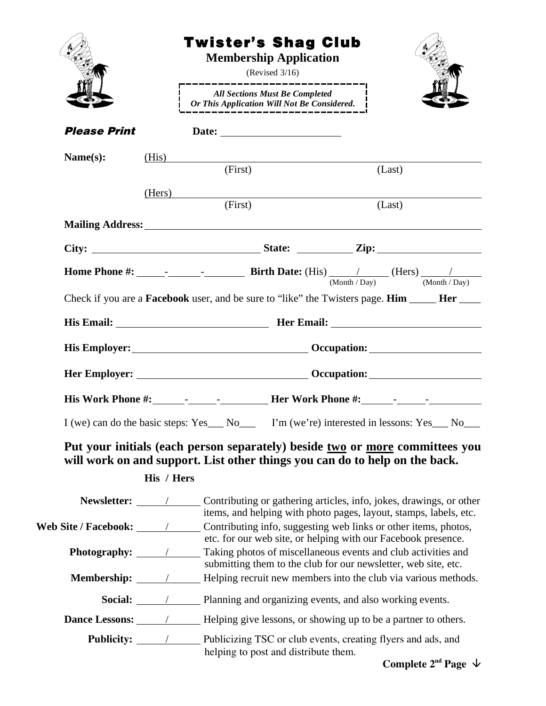|                                    |                                                                                                                                                                                                                                     | <b>Twister's Shag Club</b><br><b>Membership Application</b><br>(Revised $3/16$ )                                                                      |                                                                                                                                                                        |  |
|------------------------------------|-------------------------------------------------------------------------------------------------------------------------------------------------------------------------------------------------------------------------------------|-------------------------------------------------------------------------------------------------------------------------------------------------------|------------------------------------------------------------------------------------------------------------------------------------------------------------------------|--|
|                                    |                                                                                                                                                                                                                                     | <b>All Sections Must Be Completed</b><br>Or This Application Will Not Be Considered.                                                                  |                                                                                                                                                                        |  |
| <b>Please Print</b>                |                                                                                                                                                                                                                                     |                                                                                                                                                       |                                                                                                                                                                        |  |
| Name(s):                           |                                                                                                                                                                                                                                     | (His)                                                                                                                                                 |                                                                                                                                                                        |  |
|                                    |                                                                                                                                                                                                                                     | (First)                                                                                                                                               | (Last)                                                                                                                                                                 |  |
|                                    | (Hers)                                                                                                                                                                                                                              | (First)                                                                                                                                               | (Last)                                                                                                                                                                 |  |
|                                    |                                                                                                                                                                                                                                     |                                                                                                                                                       |                                                                                                                                                                        |  |
|                                    |                                                                                                                                                                                                                                     |                                                                                                                                                       |                                                                                                                                                                        |  |
|                                    |                                                                                                                                                                                                                                     |                                                                                                                                                       |                                                                                                                                                                        |  |
|                                    |                                                                                                                                                                                                                                     |                                                                                                                                                       | Check if you are a <b>Facebook</b> user, and be sure to "like" the Twisters page. <b>Him</b> _____ <b>Her</b> ____                                                     |  |
|                                    |                                                                                                                                                                                                                                     |                                                                                                                                                       |                                                                                                                                                                        |  |
|                                    |                                                                                                                                                                                                                                     |                                                                                                                                                       |                                                                                                                                                                        |  |
|                                    | Her Employer: <u>New York: Communication:</u> Cocupation: New York: New York: New York: New York: New York: New York: New York: New York: New York: New York: New York: New York: New York: New York: New York: New York: New York: |                                                                                                                                                       |                                                                                                                                                                        |  |
|                                    |                                                                                                                                                                                                                                     |                                                                                                                                                       |                                                                                                                                                                        |  |
| I (we) can do the basic steps: Yes |                                                                                                                                                                                                                                     | $\sqrt{N}$                                                                                                                                            | $\Box$ I'm (we're) interested in lessons: Yes $\Box$ No                                                                                                                |  |
|                                    | His / Hers                                                                                                                                                                                                                          | will work on and support. List other things you can do to help on the back.                                                                           | Put your initials (each person separately) beside two or more committees you                                                                                           |  |
|                                    |                                                                                                                                                                                                                                     |                                                                                                                                                       | Newsletter: _________________ Contributing or gathering articles, info, jokes, drawings, or other<br>items, and helping with photo pages, layout, stamps, labels, etc. |  |
|                                    |                                                                                                                                                                                                                                     |                                                                                                                                                       |                                                                                                                                                                        |  |
| Photography: <u>_________</u>      | etc. for our web site, or helping with our Facebook presence.<br>Taking photos of miscellaneous events and club activities and                                                                                                      |                                                                                                                                                       |                                                                                                                                                                        |  |
|                                    |                                                                                                                                                                                                                                     | submitting them to the club for our newsletter, web site, etc.<br><b>Membership:</b> / Helping recruit new members into the club via various methods. |                                                                                                                                                                        |  |
|                                    |                                                                                                                                                                                                                                     | Social: / Planning and organizing events, and also working events.                                                                                    |                                                                                                                                                                        |  |
|                                    |                                                                                                                                                                                                                                     |                                                                                                                                                       | <b>Dance Lessons:</b> / Helping give lessons, or showing up to be a partner to others.                                                                                 |  |
|                                    |                                                                                                                                                                                                                                     | helping to post and distribute them.                                                                                                                  |                                                                                                                                                                        |  |
|                                    |                                                                                                                                                                                                                                     |                                                                                                                                                       | Complete $2^{nd}$ Page $\psi$                                                                                                                                          |  |